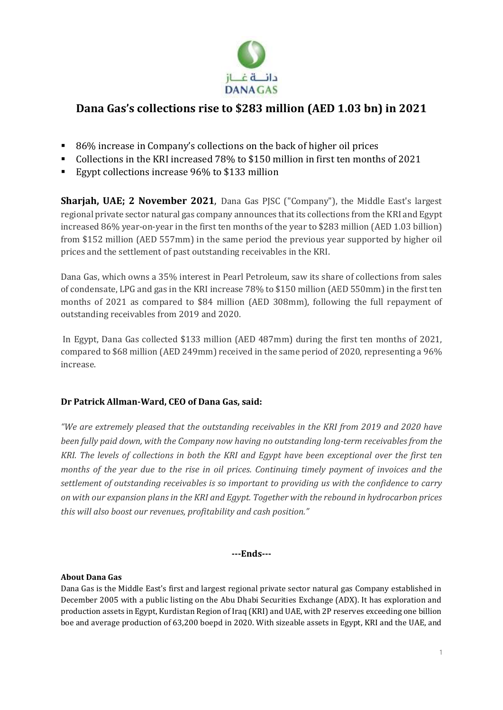

## **Dana Gas's collections rise to \$283 million (AED 1.03 bn) in 2021**

- 86% increase in Company's collections on the back of higher oil prices
- Collections in the KRI increased 78% to \$150 million in first ten months of 2021
- Egypt collections increase 96% to \$133 million

**Sharjah, UAE; 2 November 2021**, Dana Gas PJSC ("Company"), the Middle East's largest regional private sector natural gas company announces that its collections from the KRI and Egypt increased 86% year-on-year in the first ten months of the year to \$283 million (AED 1.03 billion) from \$152 million (AED 557mm) in the same period the previous year supported by higher oil prices and the settlement of past outstanding receivables in the KRI.

Dana Gas, which owns a 35% interest in Pearl Petroleum, saw its share of collections from sales of condensate, LPG and gas in the KRI increase 78% to \$150 million (AED 550mm) in the first ten months of 2021 as compared to \$84 million (AED 308mm), following the full repayment of outstanding receivables from 2019 and 2020.

In Egypt, Dana Gas collected \$133 million (AED 487mm) during the first ten months of 2021, compared to \$68 million (AED 249mm) received in the same period of 2020, representing a 96% increase.

## **Dr Patrick Allman-Ward, CEO of Dana Gas, said:**

*"We are extremely pleased that the outstanding receivables in the KRI from 2019 and 2020 have been fully paid down, with the Company now having no outstanding long-term receivables from the KRI. The levels of collections in both the KRI and Egypt have been exceptional over the first ten months of the year due to the rise in oil prices. Continuing timely payment of invoices and the settlement of outstanding receivables is so important to providing us with the confidence to carry on with our expansion plans in the KRI and Egypt. Together with the rebound in hydrocarbon prices this will also boost our revenues, profitability and cash position."* 

## **---Ends---**

## **About Dana Gas**

Dana Gas is the Middle East's first and largest regional private sector natural gas Company established in December 2005 with a public listing on the Abu Dhabi Securities Exchange (ADX). It has exploration and production assets in Egypt, Kurdistan Region of Iraq (KRI) and UAE, with 2P reserves exceeding one billion boe and average production of 63,200 boepd in 2020. With sizeable assets in Egypt, KRI and the UAE, and